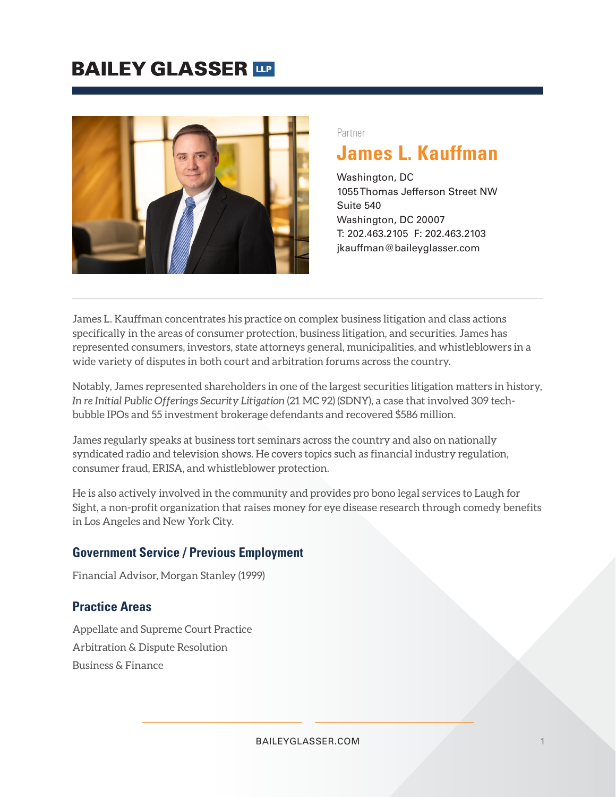### **BAILEY GLASSER TIP**



#### Partner

### **James L. Kauffman**

Washington, DC 1055 Thomas Jefferson Street NW Suite 540 Washington, DC 20007 T: 202.463.2105 F: 202.463.2103 jkauffman@baileyglasser.com

James L. Kauffman concentrates his practice on complex business litigation and class actions specifically in the areas of consumer protection, business litigation, and securities. James has represented consumers, investors, state attorneys general, municipalities, and whistleblowers in a wide variety of disputes in both court and arbitration forums across the country.

Notably, James represented shareholders in one of the largest securities litigation matters in history, *In re Initial Public Offerings Security Litigation* (21 MC 92) (SDNY), a case that involved 309 techbubble IPOs and 55 investment brokerage defendants and recovered \$586 million.

James regularly speaks at business tort seminars across the country and also on nationally syndicated radio and television shows. He covers topics such as financial industry regulation, consumer fraud, ERISA, and whistleblower protection.

He is also actively involved in the community and provides pro bono legal services to Laugh for Sight, a non-profit organization that raises money for eye disease research through comedy benefits in Los Angeles and New York City.

#### **Government Service / Previous Employment**

Financial Advisor, Morgan Stanley (1999)

#### **Practice Areas**

Appellate and Supreme Court Practice Arbitration & Dispute Resolution Business & Finance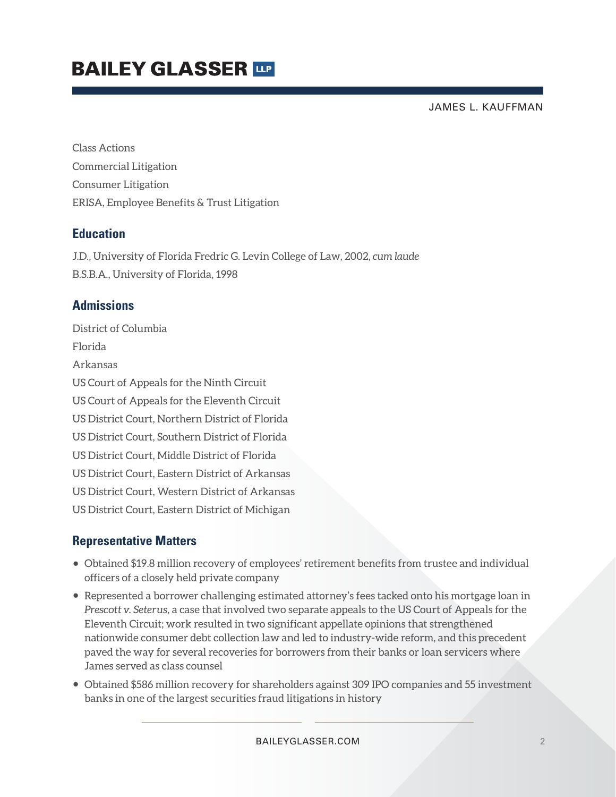## **BAILEY GLASSER TIP**

JAMES L. KAUFFMAN

Class Actions Commercial Litigation Consumer Litigation ERISA, Employee Benefits & Trust Litigation

#### **Education**

J.D., University of Florida Fredric G. Levin College of Law, 2002, *cum laude* B.S.B.A., University of Florida, 1998

#### **Admissions**

District of Columbia Florida Arkansas US Court of Appeals for the Ninth Circuit US Court of Appeals for the Eleventh Circuit US District Court, Northern District of Florida US District Court, Southern District of Florida US District Court, Middle District of Florida US District Court, Eastern District of Arkansas US District Court, Western District of Arkansas US District Court, Eastern District of Michigan

#### **Representative Matters**

- Obtained \$19.8 million recovery of employees' retirement benefits from trustee and individual officers of a closely held private company
- Represented a borrower challenging estimated attorney's fees tacked onto his mortgage loan in *Prescott v. Seterus*, a case that involved two separate appeals to the US Court of Appeals for the Eleventh Circuit; work resulted in two significant appellate opinions that strengthened nationwide consumer debt collection law and led to industry-wide reform, and this precedent paved the way for several recoveries for borrowers from their banks or loan servicers where James served as class counsel
- Obtained \$586 million recovery for shareholders against 309 IPO companies and 55 investment banks in one of the largest securities fraud litigations in history